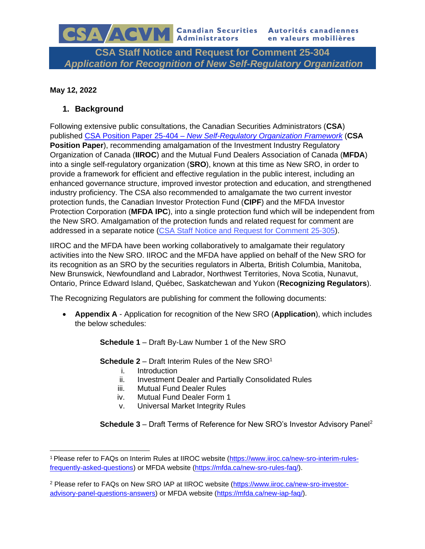**CSA Staff Notice and Request for Comment 25-304** *Application for Recognition of New Self-Regulatory Organization*

### **May 12, 2022**

# **1. Background**

CSA/ACVM

Following extensive public consultations, the Canadian Securities Administrators (**CSA**) published CSA Position Paper 25-404 – *[New Self-Regulatory Organization Framework](https://www.osc.ca/sites/default/files/2021-10/csa_20210803_25-404_new-self-regulatory-organization-framework_linkup.pdf)* (**CSA Position Paper**), recommending amalgamation of the Investment Industry Regulatory Organization of Canada (**IIROC**) and the Mutual Fund Dealers Association of Canada (**MFDA**) into a single self-regulatory organization (**SRO**), known at this time as New SRO, in order to provide a framework for efficient and effective regulation in the public interest, including an enhanced governance structure, improved investor protection and education, and strengthened industry proficiency. The CSA also recommended to amalgamate the two current investor protection funds, the Canadian Investor Protection Fund (**CIPF**) and the MFDA Investor Protection Corporation (**MFDA IPC**), into a single protection fund which will be independent from the New SRO. Amalgamation of the protection funds and related request for comment are addressed in a separate notice [\(CSA Staff Notice and Request for Comment 25-305\)](https://www.securities-administrators.ca/wp-content/uploads/2022/05/01.-CSA-Notice-re-New-IPF-Publication-for-Comment.pdf).

IIROC and the MFDA have been working collaboratively to amalgamate their regulatory activities into the New SRO. IIROC and the MFDA have applied on behalf of the New SRO for its recognition as an SRO by the securities regulators in Alberta, British Columbia, Manitoba, New Brunswick, Newfoundland and Labrador, Northwest Territories, Nova Scotia, Nunavut, Ontario, Prince Edward Island, Québec, Saskatchewan and Yukon (**Recognizing Regulators**).

The Recognizing Regulators are publishing for comment the following documents:

• **Appendix A** - Application for recognition of the New SRO (**Application**), which includes the below schedules:

**Schedule 1** – Draft By-Law Number 1 of the New SRO

**Schedule 2** – Draft Interim Rules of the New SRO<sup>1</sup>

- i. Introduction
- ii. Investment Dealer and Partially Consolidated Rules
- iii. Mutual Fund Dealer Rules
- iv. Mutual Fund Dealer Form 1
- v. Universal Market Integrity Rules

**Schedule 3** – Draft Terms of Reference for New SRO's Investor Advisory Panel<sup>2</sup>

<sup>1</sup> Please refer to FAQs on Interim Rules at IIROC website [\(https://www.iiroc.ca/new-sro-interim-rules](https://www.iiroc.ca/new-sro-interim-rules-frequently-asked-questions)[frequently-asked-questions\)](https://www.iiroc.ca/new-sro-interim-rules-frequently-asked-questions) or MFDA website [\(https://mfda.ca/new-sro-rules-faq/\)](https://mfda.ca/new-sro-rules-faq/).

<sup>2</sup> Please refer to FAQs on New SRO IAP at IIROC website [\(https://www.iiroc.ca/new-sro-investor](https://www.iiroc.ca/new-sro-investor-advisory-panel-questions-answers)[advisory-panel-questions-answers\)](https://www.iiroc.ca/new-sro-investor-advisory-panel-questions-answers) or MFDA website [\(https://mfda.ca/new-iap-faq/\)](https://mfda.ca/new-iap-faq/).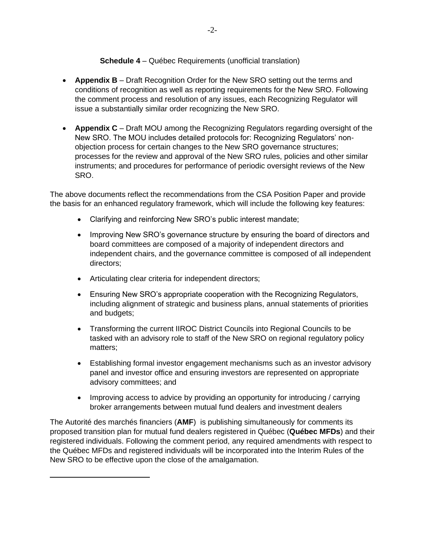## **Schedule 4** – Québec Requirements (unofficial translation)

- **Appendix B** Draft Recognition Order for the New SRO setting out the terms and conditions of recognition as well as reporting requirements for the New SRO. Following the comment process and resolution of any issues, each Recognizing Regulator will issue a substantially similar order recognizing the New SRO.
- **Appendix C** Draft MOU among the Recognizing Regulators regarding oversight of the New SRO. The MOU includes detailed protocols for: Recognizing Regulators' nonobjection process for certain changes to the New SRO governance structures; processes for the review and approval of the New SRO rules, policies and other similar instruments; and procedures for performance of periodic oversight reviews of the New SRO.

The above documents reflect the recommendations from the CSA Position Paper and provide the basis for an enhanced regulatory framework, which will include the following key features:

- Clarifying and reinforcing New SRO's public interest mandate;
- Improving New SRO's governance structure by ensuring the board of directors and board committees are composed of a majority of independent directors and independent chairs, and the governance committee is composed of all independent directors;
- Articulating clear criteria for independent directors;
- Ensuring New SRO's appropriate cooperation with the Recognizing Regulators, including alignment of strategic and business plans, annual statements of priorities and budgets;
- Transforming the current IIROC District Councils into Regional Councils to be tasked with an advisory role to staff of the New SRO on regional regulatory policy matters;
- Establishing formal investor engagement mechanisms such as an investor advisory panel and investor office and ensuring investors are represented on appropriate advisory committees; and
- Improving access to advice by providing an opportunity for introducing / carrying broker arrangements between mutual fund dealers and investment dealers

The Autorité des marchés financiers (**AMF**) is publishing simultaneously for comments its proposed transition plan for mutual fund dealers registered in Québec (**Québec MFDs**) and their registered individuals. Following the comment period, any required amendments with respect to the Québec MFDs and registered individuals will be incorporated into the Interim Rules of the New SRO to be effective upon the close of the amalgamation.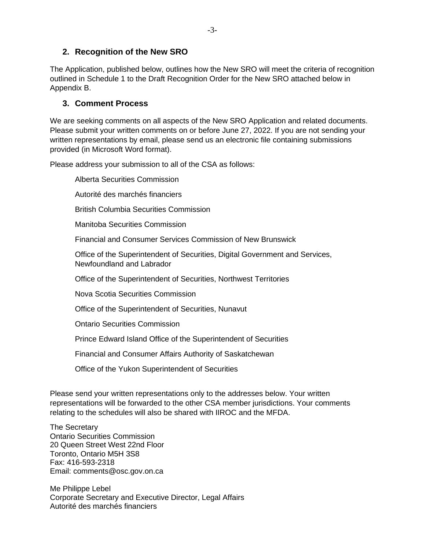# **2. Recognition of the New SRO**

The Application, published below, outlines how the New SRO will meet the criteria of recognition outlined in Schedule 1 to the Draft Recognition Order for the New SRO attached below in Appendix B.

# **3. Comment Process**

We are seeking comments on all aspects of the New SRO Application and related documents. Please submit your written comments on or before June 27, 2022. If you are not sending your written representations by email, please send us an electronic file containing submissions provided (in Microsoft Word format).

Please address your submission to all of the CSA as follows:

Alberta Securities Commission Autorité des marchés financiers British Columbia Securities Commission Manitoba Securities Commission Financial and Consumer Services Commission of New Brunswick Office of the Superintendent of Securities, Digital Government and Services, Newfoundland and Labrador Office of the Superintendent of Securities, Northwest Territories Nova Scotia Securities Commission Office of the Superintendent of Securities, Nunavut Ontario Securities Commission Prince Edward Island Office of the Superintendent of Securities

Financial and Consumer Affairs Authority of Saskatchewan

Office of the Yukon Superintendent of Securities

Please send your written representations only to the addresses below. Your written representations will be forwarded to the other CSA member jurisdictions. Your comments relating to the schedules will also be shared with IIROC and the MFDA.

The Secretary Ontario Securities Commission 20 Queen Street West 22nd Floor Toronto, Ontario M5H 3S8 Fax: 416-593-2318 Email: comments@osc.gov.on.ca

Me Philippe Lebel Corporate Secretary and Executive Director, Legal Affairs Autorité des marchés financiers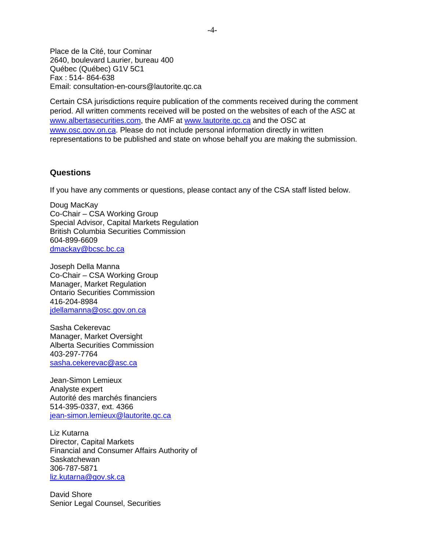Place de la Cité, tour Cominar 2640, boulevard Laurier, bureau 400 Québec (Québec) G1V 5C1 Fax : 514- 864-638 Email: consultation-en-cours@lautorite.qc.ca

Certain CSA jurisdictions require publication of the comments received during the comment period. All written comments received will be posted on the websites of each of the ASC at [www.albertasecurities.com,](http://www.albertasecurities.com/) the AMF at [www.lautorite.qc.ca](http://www.lautorite.qc.ca/) and the OSC at [www.osc.gov.on.ca.](http://www.osc.gov.on.ca/) Please do not include personal information directly in written representations to be published and state on whose behalf you are making the submission.

#### **Questions**

If you have any comments or questions, please contact any of the CSA staff listed below.

Doug MacKay Co-Chair – CSA Working Group Special Advisor, Capital Markets Regulation British Columbia Securities Commission 604-899-6609 [dmackay@bcsc.bc.ca](mailto:dmackay@bcsc.bc.ca)

Joseph Della Manna Co-Chair – CSA Working Group Manager, Market Regulation Ontario Securities Commission 416-204-8984 [jdellamanna@osc.gov.on.ca](mailto:jdellamanna@osc.gov.on.ca)

Sasha Cekerevac Manager, Market Oversight Alberta Securities Commission 403-297-7764 sasha.cekerevac@asc.ca

Jean-Simon Lemieux Analyste expert Autorité des marchés financiers 514-395-0337, ext. 4366 [jean-simon.lemieux@lautorite.qc.ca](mailto:jean-simon.lemieux@lautorite.qc.ca)

Liz Kutarna Director, Capital Markets Financial and Consumer Affairs Authority of Saskatchewan 306-787-5871 [liz.kutarna@gov.sk.ca](mailto:liz.kutarna@gov.sk.ca)

David Shore Senior Legal Counsel, Securities